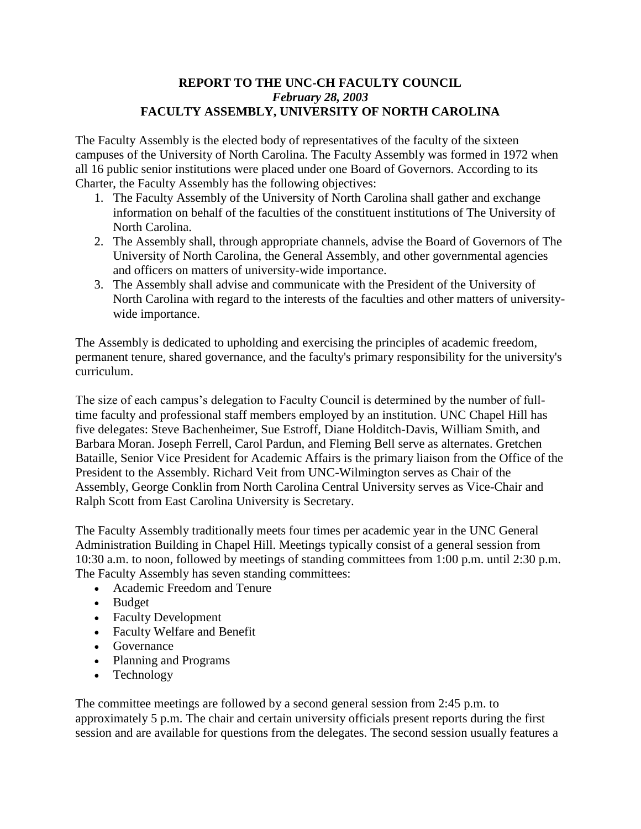## **REPORT TO THE UNC-CH FACULTY COUNCIL** *February 28, 2003* **FACULTY ASSEMBLY, UNIVERSITY OF NORTH CAROLINA**

The Faculty Assembly is the elected body of representatives of the faculty of the sixteen campuses of the University of North Carolina. The Faculty Assembly was formed in 1972 when all 16 public senior institutions were placed under one Board of Governors. According to its Charter, the Faculty Assembly has the following objectives:

- 1. The Faculty Assembly of the University of North Carolina shall gather and exchange information on behalf of the faculties of the constituent institutions of The University of North Carolina.
- 2. The Assembly shall, through appropriate channels, advise the Board of Governors of The University of North Carolina, the General Assembly, and other governmental agencies and officers on matters of university-wide importance.
- 3. The Assembly shall advise and communicate with the President of the University of North Carolina with regard to the interests of the faculties and other matters of universitywide importance.

The Assembly is dedicated to upholding and exercising the principles of academic freedom, permanent tenure, shared governance, and the faculty's primary responsibility for the university's curriculum.

The size of each campus's delegation to Faculty Council is determined by the number of fulltime faculty and professional staff members employed by an institution. UNC Chapel Hill has five delegates: Steve Bachenheimer, Sue Estroff, Diane Holditch-Davis, William Smith, and Barbara Moran. Joseph Ferrell, Carol Pardun, and Fleming Bell serve as alternates. Gretchen Bataille, Senior Vice President for Academic Affairs is the primary liaison from the Office of the President to the Assembly. Richard Veit from UNC-Wilmington serves as Chair of the Assembly, George Conklin from North Carolina Central University serves as Vice-Chair and Ralph Scott from East Carolina University is Secretary.

The Faculty Assembly traditionally meets four times per academic year in the UNC General Administration Building in Chapel Hill. Meetings typically consist of a general session from 10:30 a.m. to noon, followed by meetings of standing committees from 1:00 p.m. until 2:30 p.m. The Faculty Assembly has seven standing committees:

- Academic Freedom and Tenure
- Budget
- Faculty Development
- Faculty Welfare and Benefit
- Governance
- Planning and Programs
- Technology

The committee meetings are followed by a second general session from 2:45 p.m. to approximately 5 p.m. The chair and certain university officials present reports during the first session and are available for questions from the delegates. The second session usually features a